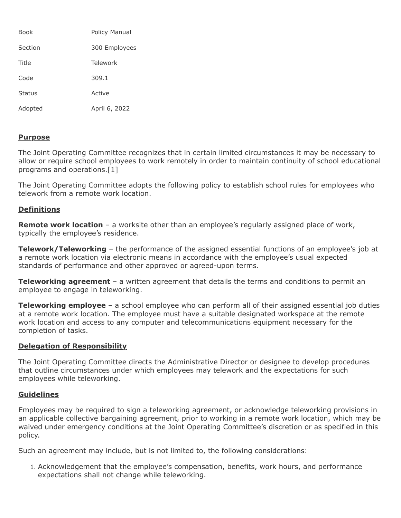| Book          | Policy Manual |
|---------------|---------------|
| Section       | 300 Employees |
| Title         | Telework      |
| Code          | 309.1         |
| <b>Status</b> | Active        |
| Adopted       | April 6, 2022 |

## **Purpose**

The Joint Operating Committee recognizes that in certain limited circumstances it may be necessary to allow or require school employees to work remotely in order to maintain continuity of school educational programs and operations.[1]

The Joint Operating Committee adopts the following policy to establish school rules for employees who telework from a remote work location.

# **Definitions**

**Remote work location** – a worksite other than an employee's regularly assigned place of work, typically the employee's residence.

**Telework/Teleworking** – the performance of the assigned essential functions of an employee's job at a remote work location via electronic means in accordance with the employee's usual expected standards of performance and other approved or agreed-upon terms.

**Teleworking agreement** – a written agreement that details the terms and conditions to permit an employee to engage in teleworking.

**Teleworking employee** – a school employee who can perform all of their assigned essential job duties at a remote work location. The employee must have a suitable designated workspace at the remote work location and access to any computer and telecommunications equipment necessary for the completion of tasks.

## **Delegation of Responsibility**

The Joint Operating Committee directs the Administrative Director or designee to develop procedures that outline circumstances under which employees may telework and the expectations for such employees while teleworking.

## **Guidelines**

Employees may be required to sign a teleworking agreement, or acknowledge teleworking provisions in an applicable collective bargaining agreement, prior to working in a remote work location, which may be waived under emergency conditions at the Joint Operating Committee's discretion or as specified in this policy.

Such an agreement may include, but is not limited to, the following considerations:

1. Acknowledgement that the employee's compensation, benefits, work hours, and performance expectations shall not change while teleworking.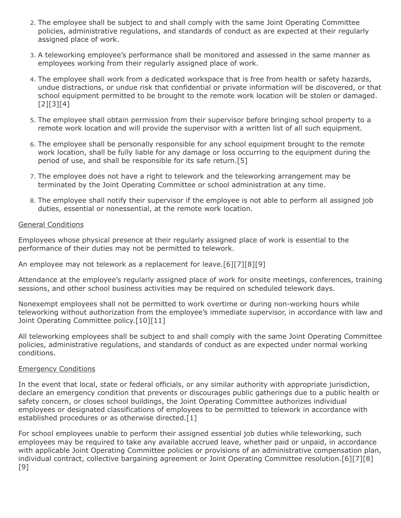- 2. The employee shall be subject to and shall comply with the same Joint Operating Committee policies, administrative regulations, and standards of conduct as are expected at their regularly assigned place of work.
- 3. A teleworking employee's performance shall be monitored and assessed in the same manner as employees working from their regularly assigned place of work.
- 4. The employee shall work from a dedicated workspace that is free from health or safety hazards, undue distractions, or undue risk that confidential or private information will be discovered, or that school equipment permitted to be brought to the remote work location will be stolen or damaged. [2][3][4]
- 5. The employee shall obtain permission from their supervisor before bringing school property to a remote work location and will provide the supervisor with a written list of all such equipment.
- 6. The employee shall be personally responsible for any school equipment brought to the remote work location, shall be fully liable for any damage or loss occurring to the equipment during the period of use, and shall be responsible for its safe return.[5]
- 7. The employee does not have a right to telework and the teleworking arrangement may be terminated by the Joint Operating Committee or school administration at any time.
- 8. The employee shall notify their supervisor if the employee is not able to perform all assigned job duties, essential or nonessential, at the remote work location.

### General Conditions

Employees whose physical presence at their regularly assigned place of work is essential to the performance of their duties may not be permitted to telework.

An employee may not telework as a replacement for leave.[6][7][8][9]

Attendance at the employee's regularly assigned place of work for onsite meetings, conferences, training sessions, and other school business activities may be required on scheduled telework days.

Nonexempt employees shall not be permitted to work overtime or during non-working hours while teleworking without authorization from the employee's immediate supervisor, in accordance with law and Joint Operating Committee policy.<sup>[10][11]</sup>

All teleworking employees shall be subject to and shall comply with the same Joint Operating Committee policies, administrative regulations, and standards of conduct as are expected under normal working conditions.

## Emergency Conditions

In the event that local, state or federal officials, or any similar authority with appropriate jurisdiction, declare an emergency condition that prevents or discourages public gatherings due to a public health or safety concern, or closes school buildings, the Joint Operating Committee authorizes individual employees or designated classifications of employees to be permitted to telework in accordance with established procedures or as otherwise directed.[1]

For school employees unable to perform their assigned essential job duties while teleworking, such employees may be required to take any available accrued leave, whether paid or unpaid, in accordance with applicable Joint Operating Committee policies or provisions of an administrative compensation plan, individual contract, collective bargaining agreement or Joint Operating Committee resolution.[6][7][8] [9]